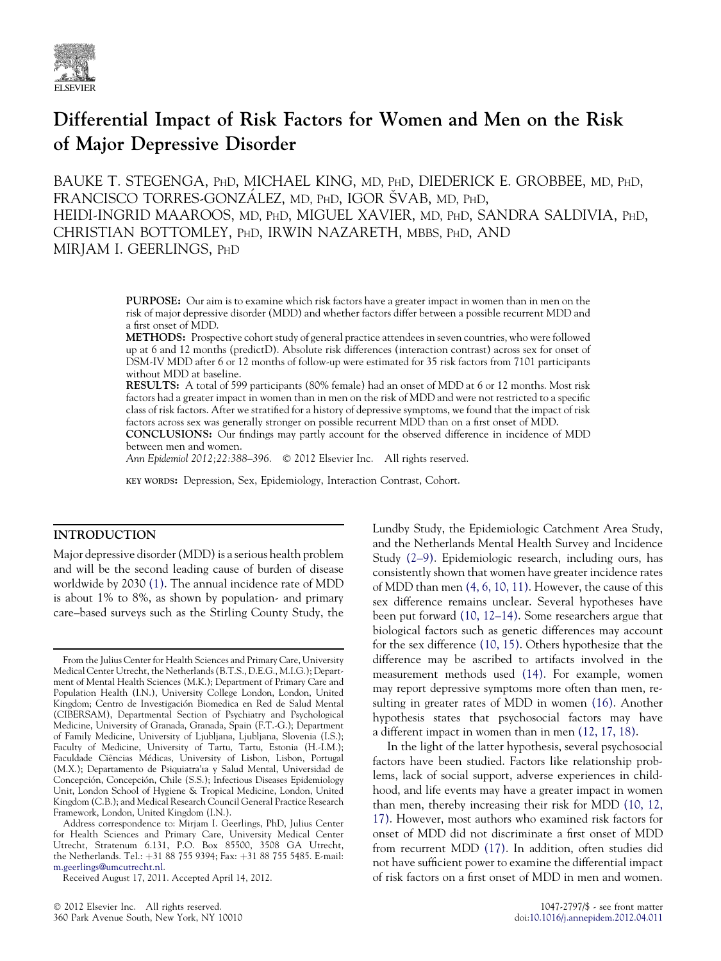

# Differential Impact of Risk Factors for Women and Men on the Risk of Major Depressive Disorder

BAUKE T. STEGENGA, PHD, MICHAEL KING, MD, PHD, DIEDERICK E. GROBBEE, MD, PHD, FRANCISCO TORRES-GONZALEZ, MD, PHD, IGOR SVAB, MD, PHD, HEIDI-INGRID MAAROOS, MD, PHD, MIGUEL XAVIER, MD, PHD, SANDRA SALDIVIA, PHD, CHRISTIAN BOTTOMLEY, PHD, IRWIN NAZARETH, MBBS, PHD, AND MIRJAM I. GEERLINGS, PHD

> PURPOSE: Our aim is to examine which risk factors have a greater impact in women than in men on the risk of major depressive disorder (MDD) and whether factors differ between a possible recurrent MDD and a first onset of MDD.

> METHODS: Prospective cohort study of general practice attendees in seven countries, who were followed up at 6 and 12 months (predictD). Absolute risk differences (interaction contrast) across sex for onset of DSM-IV MDD after 6 or 12 months of follow-up were estimated for 35 risk factors from 7101 participants without MDD at baseline.

> RESULTS: A total of 599 participants (80% female) had an onset of MDD at 6 or 12 months. Most risk factors had a greater impact in women than in men on the risk of MDD and were not restricted to a specific class of risk factors. After we stratified for a history of depressive symptoms, we found that the impact of risk factors across sex was generally stronger on possible recurrent MDD than on a first onset of MDD.

> CONCLUSIONS: Our findings may partly account for the observed difference in incidence of MDD between men and women.

Ann Epidemiol 2012;22:388-396. © 2012 Elsevier Inc. All rights reserved.

KEY WORDS: Depression, Sex, Epidemiology, Interaction Contrast, Cohort.

#### INTRODUCTION

Major depressive disorder (MDD) is a serious health problem and will be the second leading cause of burden of disease worldwide by 2030 [\(1\)](#page-8-0). The annual incidence rate of MDD is about 1% to 8%, as shown by population- and primary care–based surveys such as the Stirling County Study, the Lundby Study, the Epidemiologic Catchment Area Study, and the Netherlands Mental Health Survey and Incidence Study [\(2–9\)](#page-8-0). Epidemiologic research, including ours, has consistently shown that women have greater incidence rates of MDD than men [\(4, 6, 10, 11\)](#page-8-0). However, the cause of this sex difference remains unclear. Several hypotheses have been put forward [\(10, 12–14\).](#page-8-0) Some researchers argue that biological factors such as genetic differences may account for the sex difference [\(10, 15\)](#page-8-0). Others hypothesize that the difference may be ascribed to artifacts involved in the measurement methods used [\(14\).](#page-8-0) For example, women may report depressive symptoms more often than men, resulting in greater rates of MDD in women [\(16\)](#page-8-0). Another hypothesis states that psychosocial factors may have a different impact in women than in men [\(12, 17, 18\).](#page-8-0)

In the light of the latter hypothesis, several psychosocial factors have been studied. Factors like relationship problems, lack of social support, adverse experiences in childhood, and life events may have a greater impact in women than men, thereby increasing their risk for MDD [\(10, 12,](#page-8-0) [17\).](#page-8-0) However, most authors who examined risk factors for onset of MDD did not discriminate a first onset of MDD from recurrent MDD [\(17\).](#page-8-0) In addition, often studies did not have sufficient power to examine the differential impact of risk factors on a first onset of MDD in men and women.

From the Julius Center for Health Sciences and Primary Care, University Medical Center Utrecht, the Netherlands (B.T.S., D.E.G., M.I.G.); Department of Mental Health Sciences (M.K.); Department of Primary Care and Population Health (I.N.), University College London, London, United Kingdom; Centro de Investigación Biomedica en Red de Salud Mental (CIBERSAM), Departmental Section of Psychiatry and Psychological Medicine, University of Granada, Granada, Spain (F.T.-G.); Department of Family Medicine, University of Ljubljana, Ljubljana, Slovenia (I.S.); Faculty of Medicine, University of Tartu, Tartu, Estonia (H.-I.M.); Faculdade Ciências Médicas, University of Lisbon, Lisbon, Portugal (M.X.); Departamento de Psiquiatra'ıa y Salud Mental, Universidad de Concepcion, Concepcion, Chile (S.S.); Infectious Diseases Epidemiology Unit, London School of Hygiene & Tropical Medicine, London, United Kingdom (C.B.); and Medical Research Council General Practice Research Framework, London, United Kingdom (I.N.).

Address correspondence to: Mirjam I. Geerlings, PhD, Julius Center for Health Sciences and Primary Care, University Medical Center Utrecht, Stratenum 6.131, P.O. Box 85500, 3508 GA Utrecht, the Netherlands. Tel.: +31 88 755 9394; Fax: +31 88 755 5485. E-mail: [m.geerlings@umcutrecht.nl](mailto:m.geerlings@umcutrecht.nl).

Received August 17, 2011. Accepted April 14, 2012.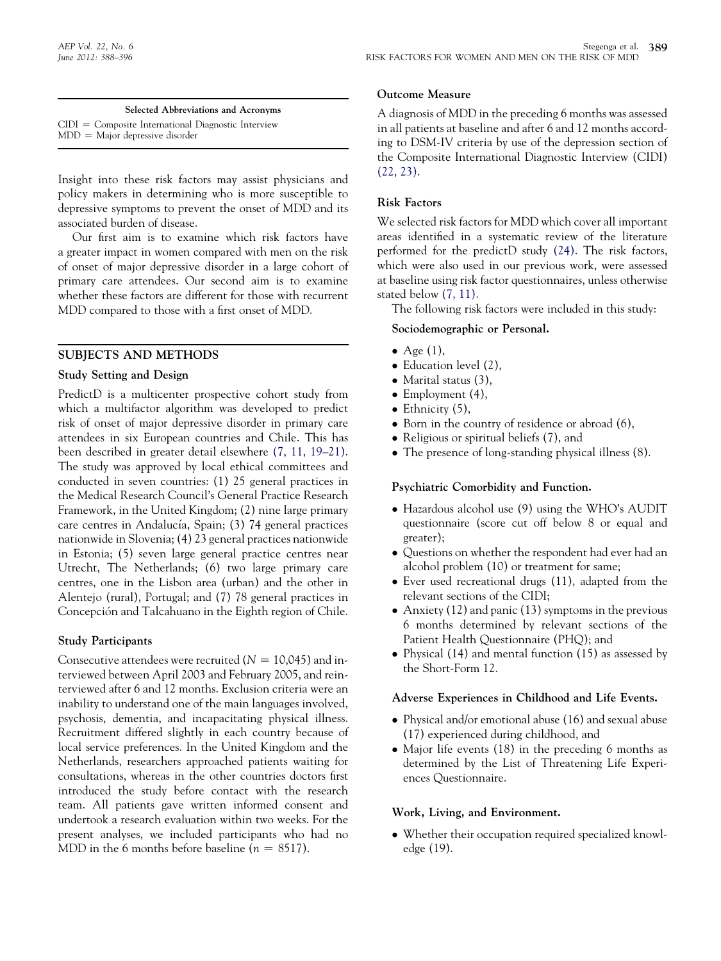Selected Abbreviations and Acronyms  $CIDI = Composite International Diagnostic Interview$  $MDD =$  Major depressive disorder

Insight into these risk factors may assist physicians and policy makers in determining who is more susceptible to depressive symptoms to prevent the onset of MDD and its associated burden of disease.

Our first aim is to examine which risk factors have a greater impact in women compared with men on the risk of onset of major depressive disorder in a large cohort of primary care attendees. Our second aim is to examine whether these factors are different for those with recurrent MDD compared to those with a first onset of MDD.

## SUBJECTS AND METHODS

## Study Setting and Design

PredictD is a multicenter prospective cohort study from which a multifactor algorithm was developed to predict risk of onset of major depressive disorder in primary care attendees in six European countries and Chile. This has been described in greater detail elsewhere [\(7, 11, 19–21\)](#page-8-0). The study was approved by local ethical committees and conducted in seven countries: (1) 25 general practices in the Medical Research Council's General Practice Research Framework, in the United Kingdom; (2) nine large primary care centres in Andalucía, Spain; (3) 74 general practices nationwide in Slovenia; (4) 23 general practices nationwide in Estonia; (5) seven large general practice centres near Utrecht, The Netherlands; (6) two large primary care centres, one in the Lisbon area (urban) and the other in Alentejo (rural), Portugal; and (7) 78 general practices in Concepción and Talcahuano in the Eighth region of Chile.

## Study Participants

Consecutive attendees were recruited ( $N = 10,045$ ) and interviewed between April 2003 and February 2005, and reinterviewed after 6 and 12 months. Exclusion criteria were an inability to understand one of the main languages involved, psychosis, dementia, and incapacitating physical illness. Recruitment differed slightly in each country because of local service preferences. In the United Kingdom and the Netherlands, researchers approached patients waiting for consultations, whereas in the other countries doctors first introduced the study before contact with the research team. All patients gave written informed consent and undertook a research evaluation within two weeks. For the present analyses, we included participants who had no MDD in the 6 months before baseline ( $n = 8517$ ).

## Outcome Measure

A diagnosis of MDD in the preceding 6 months was assessed in all patients at baseline and after 6 and 12 months according to DSM-IV criteria by use of the depression section of the Composite International Diagnostic Interview (CIDI) [\(22, 23\).](#page-8-0)

## Risk Factors

We selected risk factors for MDD which cover all important areas identified in a systematic review of the literature performed for the predictD study [\(24\)](#page-8-0). The risk factors, which were also used in our previous work, were assessed at baseline using risk factor questionnaires, unless otherwise stated below [\(7, 11\).](#page-8-0)

The following risk factors were included in this study:

## Sociodemographic or Personal.

- Age  $(1)$ ,
- Education level (2),
- Marital status  $(3)$ ,
- $\bullet$  Employment (4),
- $\bullet$  Ethnicity (5),
- Born in the country of residence or abroad (6),
- Religious or spiritual beliefs (7), and
- The presence of long-standing physical illness (8).

## Psychiatric Comorbidity and Function.

- Hazardous alcohol use (9) using the WHO's AUDIT questionnaire (score cut off below 8 or equal and greater);
- Questions on whether the respondent had ever had an alcohol problem (10) or treatment for same;
- Ever used recreational drugs (11), adapted from the relevant sections of the CIDI;
- Anxiety (12) and panic (13) symptoms in the previous 6 months determined by relevant sections of the Patient Health Questionnaire (PHQ); and
- Physical (14) and mental function (15) as assessed by the Short-Form 12.

## Adverse Experiences in Childhood and Life Events.

- Physical and/or emotional abuse (16) and sexual abuse (17) experienced during childhood, and
- Major life events (18) in the preceding 6 months as determined by the List of Threatening Life Experiences Questionnaire.

## Work, Living, and Environment.

- Whether their occupation required specialized knowledge (19).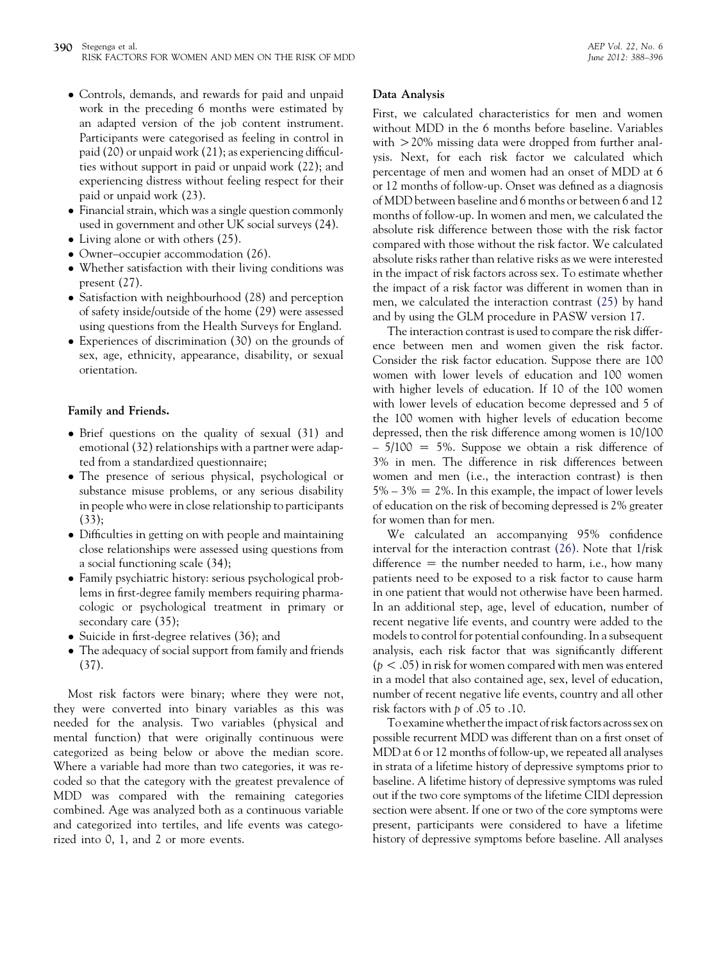- Controls, demands, and rewards for paid and unpaid work in the preceding 6 months were estimated by an adapted version of the job content instrument. Participants were categorised as feeling in control in paid (20) or unpaid work (21); as experiencing difficulties without support in paid or unpaid work (22); and experiencing distress without feeling respect for their paid or unpaid work (23).
- Financial strain, which was a single question commonly used in government and other UK social surveys (24).
- Living alone or with others (25).
- Owner–occupier accommodation (26).
- Whether satisfaction with their living conditions was present (27).
- Satisfaction with neighbourhood (28) and perception of safety inside/outside of the home (29) were assessed using questions from the Health Surveys for England.
- Experiences of discrimination (30) on the grounds of sex, age, ethnicity, appearance, disability, or sexual orientation.

## Family and Friends.

- Brief questions on the quality of sexual (31) and emotional (32) relationships with a partner were adapted from a standardized questionnaire;
- The presence of serious physical, psychological or substance misuse problems, or any serious disability in people who were in close relationship to participants (33);
- Difficulties in getting on with people and maintaining close relationships were assessed using questions from a social functioning scale (34);
- Family psychiatric history: serious psychological problems in first-degree family members requiring pharmacologic or psychological treatment in primary or secondary care (35);
- Suicide in first-degree relatives (36); and
- The adequacy of social support from family and friends (37).

Most risk factors were binary; where they were not, they were converted into binary variables as this was needed for the analysis. Two variables (physical and mental function) that were originally continuous were categorized as being below or above the median score. Where a variable had more than two categories, it was recoded so that the category with the greatest prevalence of MDD was compared with the remaining categories combined. Age was analyzed both as a continuous variable and categorized into tertiles, and life events was categorized into 0, 1, and 2 or more events.

#### Data Analysis

First, we calculated characteristics for men and women without MDD in the 6 months before baseline. Variables with  $>$  20% missing data were dropped from further analysis. Next, for each risk factor we calculated which percentage of men and women had an onset of MDD at 6 or 12 months of follow-up. Onset was defined as a diagnosis of MDD between baseline and 6 months or between 6 and 12 months of follow-up. In women and men, we calculated the absolute risk difference between those with the risk factor compared with those without the risk factor. We calculated absolute risks rather than relative risks as we were interested in the impact of risk factors across sex. To estimate whether the impact of a risk factor was different in women than in men, we calculated the interaction contrast [\(25\)](#page-8-0) by hand and by using the GLM procedure in PASW version 17.

The interaction contrast is used to compare the risk difference between men and women given the risk factor. Consider the risk factor education. Suppose there are 100 women with lower levels of education and 100 women with higher levels of education. If 10 of the 100 women with lower levels of education become depressed and 5 of the 100 women with higher levels of education become depressed, then the risk difference among women is 10/100  $-5/100 = 5\%$ . Suppose we obtain a risk difference of 3% in men. The difference in risk differences between women and men (i.e., the interaction contrast) is then  $5\% - 3\% = 2\%$ . In this example, the impact of lower levels of education on the risk of becoming depressed is 2% greater for women than for men.

We calculated an accompanying 95% confidence interval for the interaction contrast [\(26\).](#page-8-0) Note that 1/risk difference  $=$  the number needed to harm, i.e., how many patients need to be exposed to a risk factor to cause harm in one patient that would not otherwise have been harmed. In an additional step, age, level of education, number of recent negative life events, and country were added to the models to control for potential confounding. In a subsequent analysis, each risk factor that was significantly different  $(p < .05)$  in risk for women compared with men was entered in a model that also contained age, sex, level of education, number of recent negative life events, country and all other risk factors with p of .05 to .10.

To examine whether the impact of riskfactors across sex on possible recurrent MDD was different than on a first onset of MDD at 6 or 12 months of follow-up, we repeated all analyses in strata of a lifetime history of depressive symptoms prior to baseline. A lifetime history of depressive symptoms was ruled out if the two core symptoms of the lifetime CIDI depression section were absent. If one or two of the core symptoms were present, participants were considered to have a lifetime history of depressive symptoms before baseline. All analyses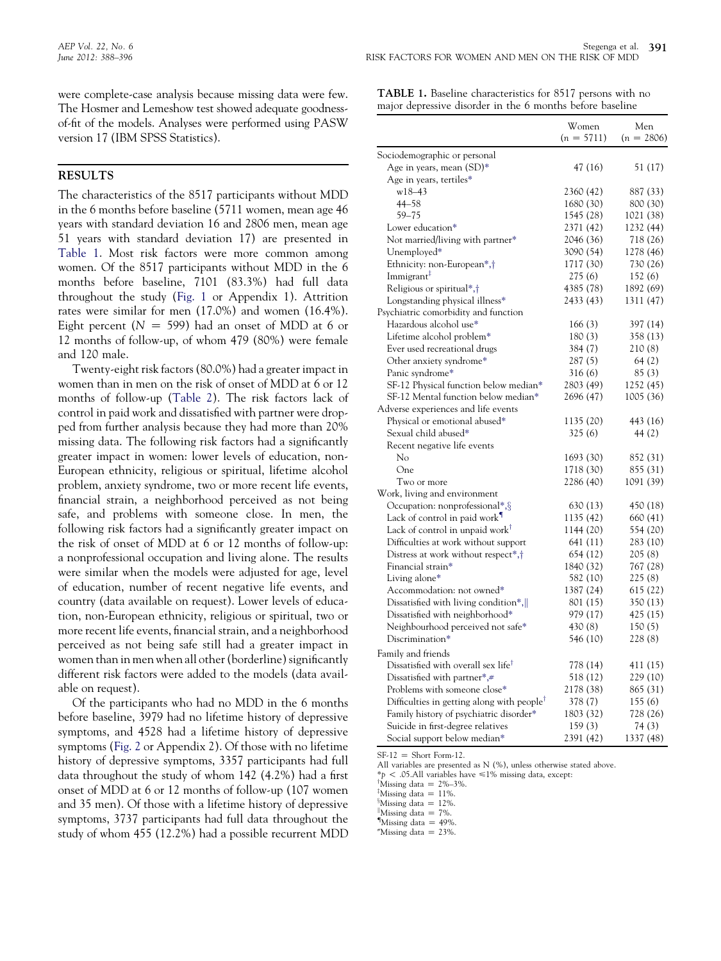were complete-case analysis because missing data were few. The Hosmer and Lemeshow test showed adequate goodnessof-fit of the models. Analyses were performed using PASW version 17 (IBM SPSS Statistics).

#### RESULTS

The characteristics of the 8517 participants without MDD in the 6 months before baseline (5711 women, mean age 46 years with standard deviation 16 and 2806 men, mean age 51 years with standard deviation 17) are presented in Table 1. Most risk factors were more common among women. Of the 8517 participants without MDD in the 6 months before baseline, 7101 (83.3%) had full data throughout the study ([Fig. 1](#page-4-0) or Appendix 1). Attrition rates were similar for men (17.0%) and women (16.4%). Eight percent ( $N = 599$ ) had an onset of MDD at 6 or 12 months of follow-up, of whom 479 (80%) were female and 120 male.

Twenty-eight risk factors (80.0%) had a greater impact in women than in men on the risk of onset of MDD at 6 or 12 months of follow-up [\(Table 2](#page-5-0)). The risk factors lack of control in paid work and dissatisfied with partner were dropped from further analysis because they had more than 20% missing data. The following risk factors had a significantly greater impact in women: lower levels of education, non-European ethnicity, religious or spiritual, lifetime alcohol problem, anxiety syndrome, two or more recent life events, financial strain, a neighborhood perceived as not being safe, and problems with someone close. In men, the following risk factors had a significantly greater impact on the risk of onset of MDD at 6 or 12 months of follow-up: a nonprofessional occupation and living alone. The results were similar when the models were adjusted for age, level of education, number of recent negative life events, and country (data available on request). Lower levels of education, non-European ethnicity, religious or spiritual, two or more recent life events, financial strain, and a neighborhood perceived as not being safe still had a greater impact in women than in men when all other (borderline) significantly different risk factors were added to the models (data available on request).

Of the participants who had no MDD in the 6 months before baseline, 3979 had no lifetime history of depressive symptoms, and 4528 had a lifetime history of depressive symptoms ([Fig. 2](#page-6-0) or Appendix 2). Of those with no lifetime history of depressive symptoms, 3357 participants had full data throughout the study of whom 142 (4.2%) had a first onset of MDD at 6 or 12 months of follow-up (107 women and 35 men). Of those with a lifetime history of depressive symptoms, 3737 participants had full data throughout the study of whom 455 (12.2%) had a possible recurrent MDD

| TABLE 1. Baseline characteristics for 8517 persons with no |  |  |  |  |  |  |  |
|------------------------------------------------------------|--|--|--|--|--|--|--|
| major depressive disorder in the 6 months before baseline  |  |  |  |  |  |  |  |

|                                                                     | Women        | Men          |
|---------------------------------------------------------------------|--------------|--------------|
|                                                                     | $(n = 5711)$ | $(n = 2806)$ |
| Sociodemographic or personal                                        |              |              |
| Age in years, mean (SD)*                                            | 47 (16)      | 51 (17)      |
| Age in years, tertiles*                                             |              |              |
| $w18 - 43$                                                          | 2360 (42)    | 887 (33)     |
| $44 - 58$                                                           | 1680 (30)    | 800 (30)     |
| $59 - 75$                                                           | 1545 (28)    | 1021 (38)    |
| Lower education*                                                    | 2371 (42)    | 1232 (44)    |
| Not married/living with partner*                                    | 2046 (36)    | 718 (26)     |
| Unemployed*                                                         | 3090 (54)    | 1278 (46)    |
| Ethnicity: non-European*,†                                          | 1717 (30)    | 730 (26)     |
| Immigrant <sup>#</sup>                                              | 275 (6)      | 152 (6)      |
| Religious or spiritual*,†                                           | 4385 (78)    | 1892 (69)    |
| Longstanding physical illness*                                      | 2433 (43)    | 1311 (47)    |
| Psychiatric comorbidity and function                                |              |              |
| Hazardous alcohol use*                                              | 166(3)       | 397 (14)     |
| Lifetime alcohol problem*                                           | 180(3)       | 358 (13)     |
| Ever used recreational drugs                                        | 384 (7)      | 210(8)       |
| Other anxiety syndrome*                                             | 287 (5)      | 64 (2)       |
| Panic syndrome*                                                     | 316 (6)      | 85(3)        |
| SF-12 Physical function below median*                               | 2803 (49)    | 1252 (45)    |
| SF-12 Mental function below median*                                 | 2696 (47)    | 1005 (36)    |
| Adverse experiences and life events                                 |              |              |
| Physical or emotional abused*                                       | 1135 (20)    | 443 (16)     |
| Sexual child abused*                                                | 325(6)       | 44 (2)       |
| Recent negative life events                                         |              |              |
| Nο                                                                  | 1693 (30)    | 852 (31)     |
| One                                                                 | 1718 (30)    | 855 (31)     |
| Two or more                                                         | 2286 (40)    | 1091 (39)    |
| Work, living and environment                                        |              |              |
| Occupation: nonprofessional*, §                                     | 630 (13)     | 450 (18)     |
| Lack of control in paid work <sup>1</sup>                           | 1135 (42)    | 660 (41)     |
| Lack of control in unpaid work <sup>†</sup>                         | 1144 (20)    | 554 (20)     |
| Difficulties at work without support                                | 641 (11)     | 283 (10)     |
| Distress at work without respect <sup>*</sup> , <sup>†</sup>        | 654 (12)     | 205(8)       |
| Financial strain*                                                   | 1840 (32)    | 767 (28)     |
| Living alone*                                                       | 582 (10)     | 225(8)       |
| Accommodation: not owned*                                           | 1387 (24)    | 615 (22)     |
| Dissatisfied with living condition*,                                | 801 (15)     | 350 (13)     |
| Dissatisfied with neighborhood*                                     | 979 (17)     | 425 (15)     |
| Neighbourhood perceived not safe*                                   | 430 (8)      | 150(5)       |
| Discrimination*                                                     | 546 (10)     | 228(8)       |
|                                                                     |              |              |
| Family and friends                                                  |              |              |
| Dissatisfied with overall sex life <sup>T</sup>                     | 778 (14)     | 411 (15)     |
| Dissatisfied with partner*,#                                        | 518 (12)     | 229 (10)     |
| Problems with someone close*                                        | 2178 (38)    | 865 (31)     |
| Difficulties in getting along with people <sup><math>†</math></sup> | 378 (7)      | 155(6)       |
| Family history of psychiatric disorder*                             | 1803 (32)    | 728 (26)     |
| Suicide in first-degree relatives                                   | 159(3)       | 74(3)        |
| Social support below median*                                        | 2391 (42)    | 1337 (48)    |

 $SF-12 = Short Form-12.$ 

All variables are presented as N (%), unless otherwise stated above.

 $*$ p < .05.All variables have  $\leq$ 1% missing data, except:

<sup>†</sup>Missing data = 2%–3%.

<sup>‡</sup>Missing data = 11%.

<sup>8</sup>Missing data =  $12\%$ .

"Missing data  $= 7\%$ .

Missing data  $=$  49%.

 $M$ issing data = 23%.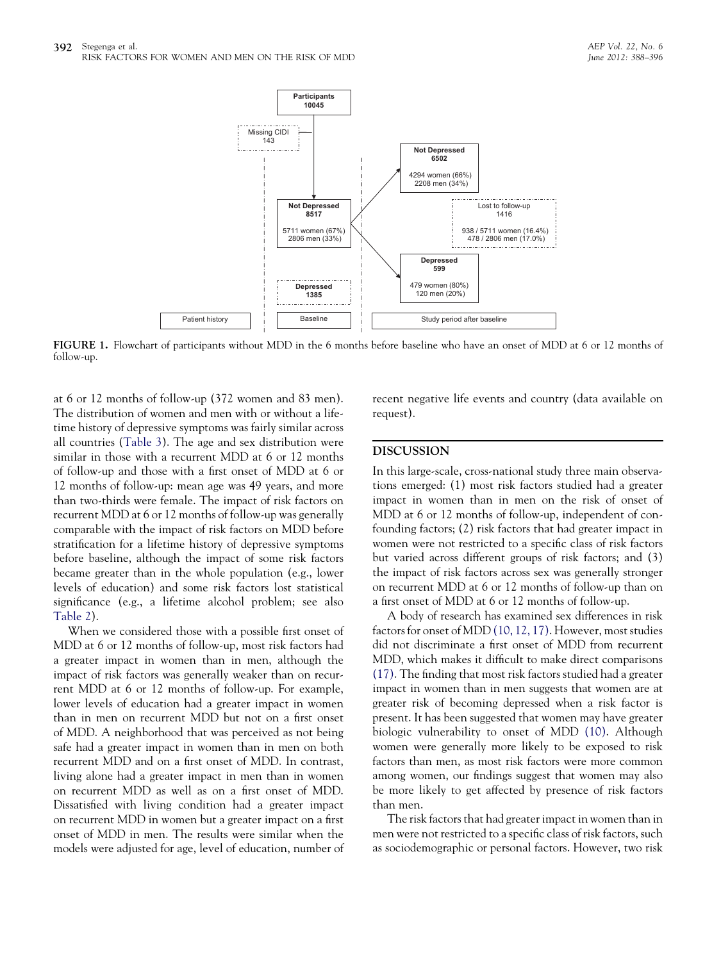<span id="page-4-0"></span>

FIGURE 1. Flowchart of participants without MDD in the 6 months before baseline who have an onset of MDD at 6 or 12 months of follow-up.

at 6 or 12 months of follow-up (372 women and 83 men). The distribution of women and men with or without a lifetime history of depressive symptoms was fairly similar across all countries ([Table 3](#page-6-0)). The age and sex distribution were similar in those with a recurrent MDD at 6 or 12 months of follow-up and those with a first onset of MDD at 6 or 12 months of follow-up: mean age was 49 years, and more than two-thirds were female. The impact of risk factors on recurrent MDD at 6 or 12 months of follow-up was generally comparable with the impact of risk factors on MDD before stratification for a lifetime history of depressive symptoms before baseline, although the impact of some risk factors became greater than in the whole population (e.g., lower levels of education) and some risk factors lost statistical significance (e.g., a lifetime alcohol problem; see also [Table 2](#page-5-0)).

When we considered those with a possible first onset of MDD at 6 or 12 months of follow-up, most risk factors had a greater impact in women than in men, although the impact of risk factors was generally weaker than on recurrent MDD at 6 or 12 months of follow-up. For example, lower levels of education had a greater impact in women than in men on recurrent MDD but not on a first onset of MDD. A neighborhood that was perceived as not being safe had a greater impact in women than in men on both recurrent MDD and on a first onset of MDD. In contrast, living alone had a greater impact in men than in women on recurrent MDD as well as on a first onset of MDD. Dissatisfied with living condition had a greater impact on recurrent MDD in women but a greater impact on a first onset of MDD in men. The results were similar when the models were adjusted for age, level of education, number of recent negative life events and country (data available on request).

#### DISCUSSION

In this large-scale, cross-national study three main observations emerged: (1) most risk factors studied had a greater impact in women than in men on the risk of onset of MDD at 6 or 12 months of follow-up, independent of confounding factors; (2) risk factors that had greater impact in women were not restricted to a specific class of risk factors but varied across different groups of risk factors; and (3) the impact of risk factors across sex was generally stronger on recurrent MDD at 6 or 12 months of follow-up than on a first onset of MDD at 6 or 12 months of follow-up.

A body of research has examined sex differences in risk factors for onset of MDD [\(10, 12, 17\)](#page-8-0). However, most studies did not discriminate a first onset of MDD from recurrent MDD, which makes it difficult to make direct comparisons [\(17\).](#page-8-0) The finding that most risk factors studied had a greater impact in women than in men suggests that women are at greater risk of becoming depressed when a risk factor is present. It has been suggested that women may have greater biologic vulnerability to onset of MDD [\(10\)](#page-8-0). Although women were generally more likely to be exposed to risk factors than men, as most risk factors were more common among women, our findings suggest that women may also be more likely to get affected by presence of risk factors than men.

The risk factors that had greater impact in women than in men were not restricted to a specific class of risk factors, such as sociodemographic or personal factors. However, two risk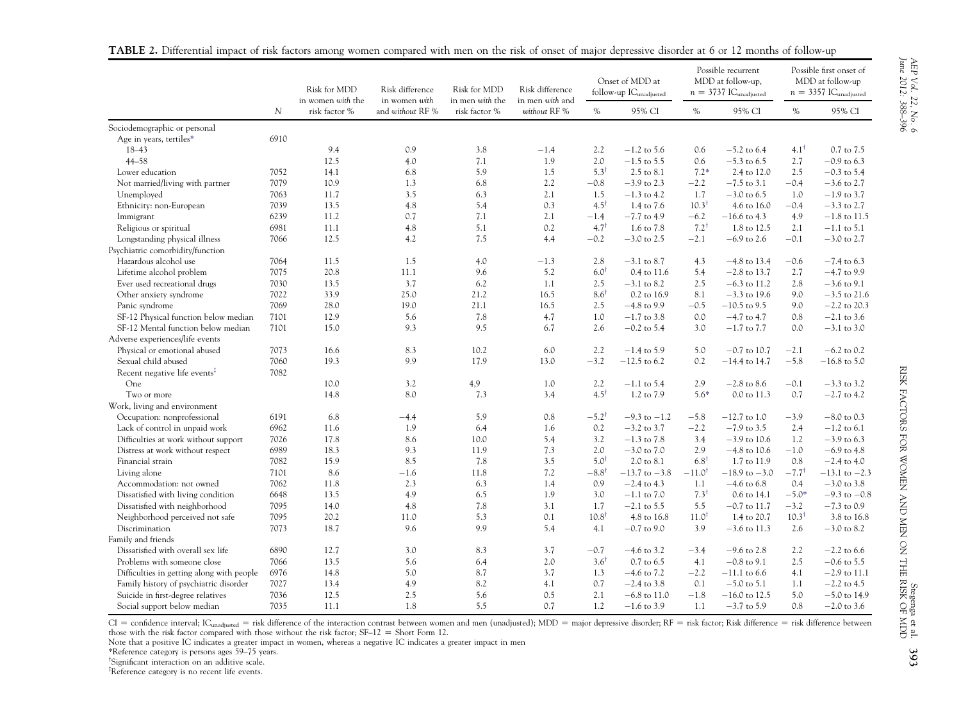|                                                                  | $\mathcal N$ | Risk for MDD<br>in women with the | Risk difference<br>in women with<br>and without RF % | Risk for MDD<br>in men with the<br>risk factor % | Risk difference<br>in men with and<br>without RF % | Onset of MDD at<br>follow-up IC <sub>unadjusted</sub> |                                 | Possible recurrent<br>MDD at follow-up,<br>$n = 3737$ IC <sub>unadjusted</sub> |                                  | Possible first onset of<br>MDD at follow-up<br>$n = 3357$ IC <sub>unadjusted</sub> |                                 |
|------------------------------------------------------------------|--------------|-----------------------------------|------------------------------------------------------|--------------------------------------------------|----------------------------------------------------|-------------------------------------------------------|---------------------------------|--------------------------------------------------------------------------------|----------------------------------|------------------------------------------------------------------------------------|---------------------------------|
|                                                                  |              | risk factor %                     |                                                      |                                                  |                                                    | $\%$                                                  | 95% CI                          | $\%$                                                                           | 95% CI                           | $\%$                                                                               | 95% CI                          |
| Sociodemographic or personal                                     |              |                                   |                                                      |                                                  |                                                    |                                                       |                                 |                                                                                |                                  |                                                                                    |                                 |
| Age in years, tertiles*                                          | 6910         |                                   |                                                      |                                                  |                                                    |                                                       |                                 |                                                                                |                                  |                                                                                    |                                 |
| $18 - 43$                                                        |              | 9.4                               | 0.9                                                  | 3.8                                              | $-1.4$                                             | 2.2                                                   | $-1.2$ to 5.6                   | 0.6                                                                            | $-5.2$ to 6.4                    | $4.1^{\dagger}$                                                                    | 0.7 to 7.5                      |
| $44 - 58$                                                        |              | 12.5                              | 4.0                                                  | 7.1                                              | 1.9                                                | 2.0                                                   | $-1.5$ to 5.5                   | 0.6                                                                            | $-5.3$ to 6.5                    | 2.7                                                                                | $-0.9$ to 6.3                   |
| Lower education                                                  | 7052         | 14.1                              | 6.8                                                  | 5.9                                              | 1.5                                                | $5.3^{\dagger}$                                       | 2.5 to 8.1                      | $7.2*$                                                                         | 2.4 to 12.0                      | 2.5                                                                                | $-0.3$ to 5.4                   |
| Not married/living with partner                                  | 7079         | 10.9                              | 1.3                                                  | 6.8                                              | 2.2                                                | $-0.8$                                                | $-3.9$ to 2.3                   | $-2.2$                                                                         | $-7.5$ to 3.1                    | $-0.4$                                                                             | $-3.6$ to 2.7                   |
| Unemployed                                                       | 7063         | 11.7                              | 3.5                                                  | 6.3                                              | 2.1                                                | 1.5                                                   | $-1.3$ to 4.2                   | 1.7                                                                            | $-3.0$ to 6.5                    | 1.0                                                                                | $-1.9$ to 3.7                   |
| Ethnicity: non-European                                          | 7039         | 13.5                              | 4.8                                                  | 5.4                                              | 0.3                                                | $4.5^{\dagger}$                                       | 1.4 to 7.6                      | $10.3^{\dagger}$                                                               | 4.6 to 16.0                      | $-0.4$                                                                             | $-3.3$ to 2.7                   |
| Immigrant                                                        | 6239         | 11.2                              | 0.7                                                  | 7.1                                              | 2.1                                                | $-1.4$                                                | $-7.7$ to 4.9                   | $-6.2$                                                                         | $-16.6$ to 4.3                   | 4.9                                                                                | $-1.8$ to 11.5                  |
| Religious or spiritual                                           | 6981         | 11.1                              | 4.8                                                  | 5.1                                              | 0.2                                                | $4.7^{\dagger}$                                       | 1.6 to 7.8                      | $7.2^{\dagger}$                                                                | 1.8 to 12.5                      | 2.1                                                                                | $-1.1$ to 5.1                   |
| Longstanding physical illness                                    | 7066         | 12.5                              | 4.2                                                  | 7.5                                              | 4.4                                                | $-0.2$                                                | $-3.0$ to 2.5                   | $-2.1$                                                                         | $-6.9$ to 2.6                    | $-0.1$                                                                             | $-3.0$ to 2.7                   |
| Psychiatric comorbidity/function                                 |              |                                   |                                                      |                                                  |                                                    |                                                       |                                 |                                                                                |                                  |                                                                                    |                                 |
| Hazardous alcohol use                                            | 7064         | 11.5                              | 1.5                                                  | 4.0                                              | $-1.3$                                             | 2.8                                                   | $-3.1$ to 8.7                   | 4.3                                                                            | $-4.8$ to 13.4                   | $-0.6$                                                                             | $-7.4$ to 6.3                   |
| Lifetime alcohol problem                                         | 7075         | 20.8                              | 11.1                                                 | 9.6                                              | 5.2                                                | $6.0^{\dagger}$                                       | 0.4 to 11.6                     | 5.4                                                                            | $-2.8$ to 13.7                   | 2.7                                                                                | $-4.7$ to 9.9                   |
| Ever used recreational drugs                                     | 7030         | 13.5                              | 3.7                                                  | 6.2                                              | 1.1                                                | 2.5                                                   | $-3.1$ to 8.2                   | 2.5                                                                            | $-6.3$ to 11.2                   | 2.8                                                                                | $-3.6$ to 9.1                   |
| Other anxiety syndrome                                           | 7022         | 33.9                              | 25.0                                                 | 21.2                                             | 16.5                                               | $8.6^{\dagger}$                                       | 0.2 to 16.9                     | 8.1                                                                            | $-3.3$ to 19.6                   | 9.0                                                                                | $-3.5$ to 21.6                  |
| Panic syndrome                                                   | 7069         | 28.0                              | 19.0                                                 | 21.1                                             | 16.5                                               | 2.5                                                   | $-4.8$ to 9.9                   | $-0.5$                                                                         | $-10.5$ to 9.5                   | 9.0                                                                                | $-2.2$ to 20.3                  |
| SF-12 Physical function below median                             | 7101         | 12.9                              | 5.6                                                  | 7.8                                              | 4.7                                                | 1.0                                                   | $-1.7$ to 3.8                   | 0.0                                                                            | $-4.7$ to $4.7$                  | 0.8                                                                                | $-2.1$ to 3.6                   |
| SF-12 Mental function below median                               | 7101         | 15.0                              | 9.3                                                  | 9.5                                              | 6.7                                                | 2.6                                                   | $-0.2$ to 5.4                   | 3.0                                                                            | $-1.7$ to $7.7$                  | 0.0                                                                                | $-3.1$ to 3.0                   |
| Adverse experiences/life events                                  |              |                                   |                                                      |                                                  |                                                    |                                                       |                                 |                                                                                |                                  |                                                                                    |                                 |
| Physical or emotional abused                                     | 7073         | 16.6                              | 8.3                                                  | 10.2                                             | 6.0                                                | 2.2                                                   | $-1.4$ to 5.9                   | 5.0                                                                            | $-0.7$ to 10.7                   | $-2.1$                                                                             | $-6.2$ to 0.2                   |
| Sexual child abused                                              | 7060         | 19.3                              | 9.9                                                  | 17.9                                             | 13.0                                               | $-3.2$                                                | $-12.5$ to 6.2                  | 0.2                                                                            | $-14.4$ to 14.7                  | $-5.8$                                                                             | $-16.8$ to 5.0                  |
| Recent negative life events <sup>‡</sup>                         | 7082         |                                   |                                                      |                                                  |                                                    |                                                       |                                 |                                                                                |                                  |                                                                                    |                                 |
| One                                                              |              | 10.0                              | 3.2                                                  | 4,9                                              | 1.0                                                | 2.2                                                   | $-1.1$ to 5.4                   | 2.9                                                                            | $-2.8$ to 8.6                    | $-0.1$                                                                             | $-3.3$ to 3.2                   |
| Two or more                                                      |              | 14.8                              | 8.0                                                  | 7.3                                              | 3.4                                                | $4.5^{\dagger}$                                       | 1.2 to 7.9                      | $5.6*$                                                                         | 0.0 to 11.3                      | 0.7                                                                                | $-2.7$ to 4.2                   |
| Work, living and environment                                     |              |                                   |                                                      |                                                  |                                                    |                                                       |                                 |                                                                                |                                  |                                                                                    |                                 |
| Occupation: nonprofessional                                      | 6191         | 6.8                               | $-4.4$                                               | 5.9                                              | 0.8                                                | $-5.2^{\dagger}$                                      | $-9.3$ to $-1.2$                | $-5.8$                                                                         | $-12.7$ to 1.0                   | $-3.9$                                                                             | $-8.0$ to 0.3                   |
| Lack of control in unpaid work                                   | 6962         | 11.6                              | 1.9                                                  | 6.4                                              | 1.6                                                | 0.2                                                   | $-3.2$ to 3.7                   | $-2.2$                                                                         | $-7.9$ to 3.5                    | 2.4                                                                                | $-1.2$ to 6.1                   |
| Difficulties at work without support                             | 7026         | 17.8                              | 8.6                                                  | 10.0                                             | 5.4                                                | 3.2                                                   | $-1.3$ to $7.8$                 | 3.4                                                                            | $-3.9$ to 10.6                   | 1.2                                                                                | $-3.9$ to 6.3                   |
| Distress at work without respect                                 | 6989         | 18.3                              | 9.3                                                  | 11.9                                             | 7.3                                                | 2.0                                                   | $-3.0$ to $7.0$                 | 2.9                                                                            | $-4.8$ to 10.6                   | $-1.0$                                                                             | $-6.9$ to 4.8                   |
| Financial strain                                                 | 7082         | 15.9                              | 8.5                                                  | 7.8                                              | 3.5                                                | $5.0^{\dagger}$                                       | 2.0 to 8.1                      | $6.8^{\dagger}$                                                                | 1.7 to 11.9                      | 0.8                                                                                | $-2.4$ to 4.0                   |
| Living alone                                                     | 7101         | 8.6                               | $-1.6$                                               | 11.8                                             | 7.2                                                | $-8.8^{\dagger}$                                      | $-13.7$ to $-3.8$               | $-11.0^{\dagger}$                                                              | $-18.9$ to $-3.0$                | $-7.7^{\dagger}$                                                                   | $-13.1$ to $-2.3$               |
| Accommodation: not owned                                         | 7062         | 11.8                              | 2.3                                                  | 6.3                                              | 1.4                                                | 0.9                                                   | $-2.4$ to 4.3                   | 1.1                                                                            | $-4.6$ to 6.8                    | 0.4                                                                                | $-3.0$ to 3.8                   |
| Dissatisfied with living condition                               | 6648         | 13.5                              | 4.9                                                  | 6.5                                              | 1.9                                                | 3.0                                                   | $-1.1$ to $7.0$                 | $7.3^{\dagger}$                                                                | 0.6 to 14.1                      | $-5.0*$                                                                            | $-9.3$ to $-0.8$                |
| Dissatisfied with neighborhood                                   | 7095         | 14.0                              | 4.8                                                  | 7.8                                              | 3.1                                                | 1.7                                                   | $-2.1$ to 5.5                   | 5.5                                                                            | $-0.7$ to 11.7                   | $-3.2$                                                                             | $-7.3$ to 0.9                   |
| Neighborhood perceived not safe                                  | 7095         | 20.2                              | 11.0                                                 | 5.3                                              | 0.1                                                | $10.8^{\dagger}$                                      | $4.8$ to $16.8\,$               | 11.0 <sup>†</sup>                                                              | 1.4 to 20.7                      | $10.3^{\dagger}$                                                                   | 3.8 to 16.8                     |
| Discrimination                                                   | 7073         | 18.7                              | 9.6                                                  | 9.9                                              | 5.4                                                | 4.1                                                   | $-0.7$ to 9.0                   | 3.9                                                                            | $-3.6$ to 11.3                   | 2.6                                                                                | $-3.0$ to 8.2                   |
| Family and friends                                               |              |                                   |                                                      |                                                  |                                                    |                                                       |                                 |                                                                                |                                  |                                                                                    |                                 |
| Dissatisfied with overall sex life                               | 6890         | 12.7                              | 3.0                                                  | 8.3                                              | 3.7                                                | $-0.7$                                                | $-4.6$ to 3.2                   | $-3.4$                                                                         | $-9.6$ to 2.8                    | 2.2                                                                                | $-2.2$ to 6.6                   |
|                                                                  |              |                                   |                                                      |                                                  |                                                    | $3.6^{\dagger}$                                       |                                 |                                                                                |                                  |                                                                                    |                                 |
| Problems with someone close                                      | 7066         | 13.5                              | 5.6                                                  | 6.4<br>8.7                                       | 2.0                                                |                                                       | $0.7$ to $6.5$                  | 4.1                                                                            | $-0.8$ to 9.1                    | 2.5                                                                                | $-0.6$ to 5.5                   |
| Difficulties in getting along with people                        | 6976         | 14.8                              | 5.0                                                  | 8.2                                              | 3.7                                                | 1.3                                                   | $-4.6$ to $7.2$                 | $-2.2$                                                                         | $-11.1$ to 6.6                   | 4.1                                                                                | $-2.9$ to 11.1                  |
| Family history of psychiatric disorder                           | 7027         | 13.4                              | 4.9                                                  |                                                  | 4.1                                                | 0.7                                                   | $-2.4$ to 3.8                   | 0.1                                                                            | $-5.0$ to 5.1                    | 1.1                                                                                | $-2.2$ to 4.5                   |
| Suicide in first-degree relatives<br>Social support below median | 7036<br>7035 | 12.5<br>11.1                      | 2.5<br>1.8                                           | 5.6<br>5.5                                       | 0.5<br>0.7                                         | 2.1<br>1.2                                            | $-6.8$ to 11.0<br>$-1.6$ to 3.9 | $-1.8$<br>1.1                                                                  | $-16.0$ to 12.5<br>$-3.7$ to 5.9 | 5.0<br>0.8                                                                         | $-5.0$ to 14.9<br>$-2.0$ to 3.6 |

<span id="page-5-0"></span>TABLE 2. Differential impact of risk factors among women compared with men on the risk of onset of major depressive disorder at 6 or 12 months of follow-up

CI = confidence interval; IC<sub>unadjusted</sub> = risk difference of the interaction contrast between women and men (unadjusted); MDD = major depressive disorder; RF = risk factor; Risk difference = risk difference between those with the risk factor compared with those without the risk factor;  $SF-12 = Short Form 12$ .

Note that <sup>a</sup> positive IC indicates <sup>a</sup> greater impact in women, whereas <sup>a</sup> negative IC indicates <sup>a</sup> greater impact in men

\*Reference category is persons ages 59–75 years.

<sup>†</sup>Significant interaction on an additive scale.

<sup>‡</sup>Reference category is no recent life events.

AEP Vol. 22, No. 6

June 2012: 388–396

AEP Vol. 22, No. 6<br>June 2012: 388–396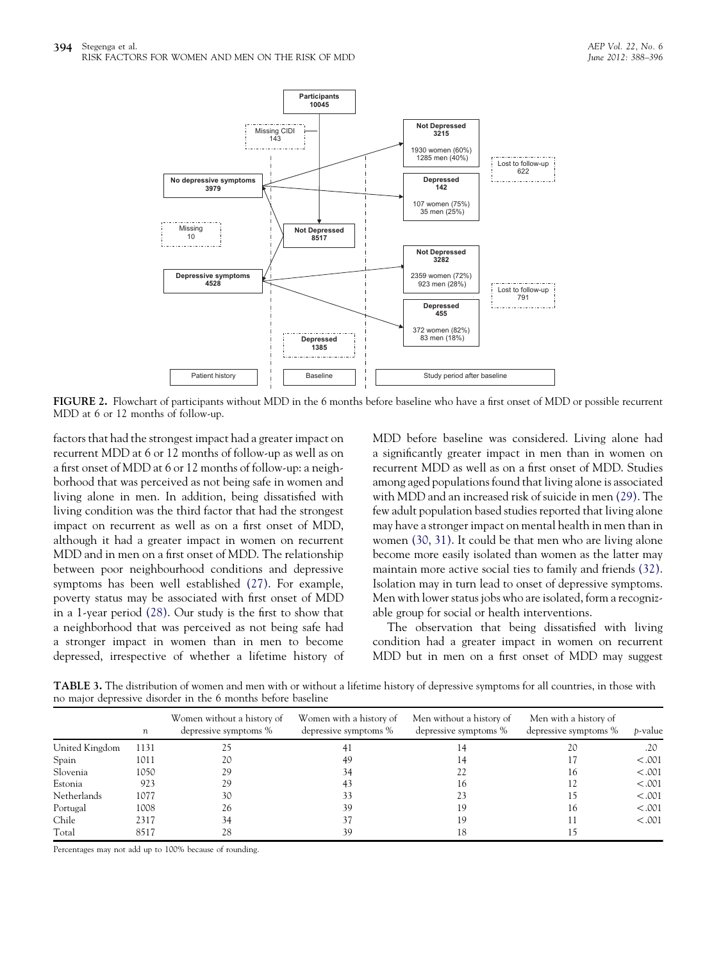<span id="page-6-0"></span>

FIGURE 2. Flowchart of participants without MDD in the 6 months before baseline who have a first onset of MDD or possible recurrent MDD at 6 or 12 months of follow-up.

factors that had the strongest impact had a greater impact on recurrent MDD at 6 or 12 months of follow-up as well as on a first onset of MDD at 6 or 12 months of follow-up: a neighborhood that was perceived as not being safe in women and living alone in men. In addition, being dissatisfied with living condition was the third factor that had the strongest impact on recurrent as well as on a first onset of MDD, although it had a greater impact in women on recurrent MDD and in men on a first onset of MDD. The relationship between poor neighbourhood conditions and depressive symptoms has been well established [\(27\).](#page-8-0) For example, poverty status may be associated with first onset of MDD in a 1-year period [\(28\).](#page-8-0) Our study is the first to show that a neighborhood that was perceived as not being safe had a stronger impact in women than in men to become depressed, irrespective of whether a lifetime history of MDD before baseline was considered. Living alone had a significantly greater impact in men than in women on recurrent MDD as well as on a first onset of MDD. Studies among aged populations found that living alone is associated with MDD and an increased risk of suicide in men [\(29\)](#page-8-0). The few adult population based studies reported that living alone may have a stronger impact on mental health in men than in women [\(30, 31\).](#page-8-0) It could be that men who are living alone become more easily isolated than women as the latter may maintain more active social ties to family and friends [\(32\).](#page-8-0) Isolation may in turn lead to onset of depressive symptoms. Men with lower status jobs who are isolated, form a recognizable group for social or health interventions.

The observation that being dissatisfied with living condition had a greater impact in women on recurrent MDD but in men on a first onset of MDD may suggest

TABLE 3. The distribution of women and men with or without a lifetime history of depressive symptoms for all countries, in those with no major depressive disorder in the 6 months before baseline

|                | n    | Women without a history of<br>depressive symptoms % | Women with a history of<br>depressive symptoms % | Men without a history of<br>depressive symptoms % | Men with a history of<br>depressive symptoms % | <i>b</i> -value |
|----------------|------|-----------------------------------------------------|--------------------------------------------------|---------------------------------------------------|------------------------------------------------|-----------------|
| United Kingdom | 1131 |                                                     |                                                  |                                                   | 20                                             | .20             |
| Spain          | 1011 | 20                                                  | 49                                               |                                                   |                                                | < .001          |
| Slovenia       | 1050 | 29                                                  |                                                  |                                                   | 16                                             | < .001          |
| Estonia        | 923  | 29                                                  | 43                                               | 16                                                |                                                | < .001          |
| Netherlands    | 1077 | 30                                                  | 33                                               | 23                                                |                                                | < .001          |
| Portugal       | 1008 | 26                                                  | 39                                               | 19                                                | 16                                             | < .001          |
| Chile          | 2317 | 34                                                  | 37                                               | 19                                                |                                                | < .001          |
| Total          | 8517 | 28                                                  | 39                                               | 18                                                |                                                |                 |

Percentages may not add up to 100% because of rounding.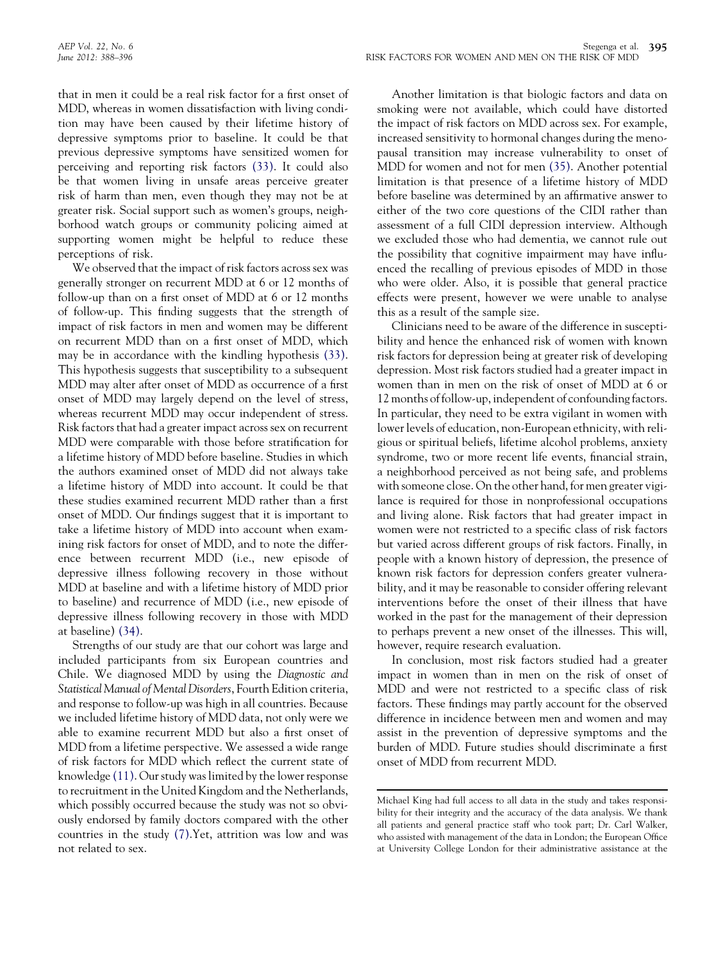that in men it could be a real risk factor for a first onset of MDD, whereas in women dissatisfaction with living condition may have been caused by their lifetime history of depressive symptoms prior to baseline. It could be that previous depressive symptoms have sensitized women for perceiving and reporting risk factors [\(33\)](#page-8-0). It could also be that women living in unsafe areas perceive greater risk of harm than men, even though they may not be at greater risk. Social support such as women's groups, neighborhood watch groups or community policing aimed at supporting women might be helpful to reduce these perceptions of risk.

We observed that the impact of risk factors across sex was generally stronger on recurrent MDD at 6 or 12 months of follow-up than on a first onset of MDD at 6 or 12 months of follow-up. This finding suggests that the strength of impact of risk factors in men and women may be different on recurrent MDD than on a first onset of MDD, which may be in accordance with the kindling hypothesis [\(33\)](#page-8-0). This hypothesis suggests that susceptibility to a subsequent MDD may alter after onset of MDD as occurrence of a first onset of MDD may largely depend on the level of stress, whereas recurrent MDD may occur independent of stress. Risk factors that had a greater impact across sex on recurrent MDD were comparable with those before stratification for a lifetime history of MDD before baseline. Studies in which the authors examined onset of MDD did not always take a lifetime history of MDD into account. It could be that these studies examined recurrent MDD rather than a first onset of MDD. Our findings suggest that it is important to take a lifetime history of MDD into account when examining risk factors for onset of MDD, and to note the difference between recurrent MDD (i.e., new episode of depressive illness following recovery in those without MDD at baseline and with a lifetime history of MDD prior to baseline) and recurrence of MDD (i.e., new episode of depressive illness following recovery in those with MDD at baseline) [\(34\)](#page-8-0).

Strengths of our study are that our cohort was large and included participants from six European countries and Chile. We diagnosed MDD by using the Diagnostic and Statistical Manual of Mental Disorders, Fourth Edition criteria, and response to follow-up was high in all countries. Because we included lifetime history of MDD data, not only were we able to examine recurrent MDD but also a first onset of MDD from a lifetime perspective. We assessed a wide range of risk factors for MDD which reflect the current state of knowledge [\(11\).](#page-8-0) Our study was limited by the lower response to recruitment in the United Kingdom and the Netherlands, which possibly occurred because the study was not so obviously endorsed by family doctors compared with the other countries in the study [\(7\)](#page-8-0).Yet, attrition was low and was not related to sex.

Another limitation is that biologic factors and data on smoking were not available, which could have distorted the impact of risk factors on MDD across sex. For example, increased sensitivity to hormonal changes during the menopausal transition may increase vulnerability to onset of MDD for women and not for men [\(35\)](#page-8-0). Another potential limitation is that presence of a lifetime history of MDD before baseline was determined by an affirmative answer to either of the two core questions of the CIDI rather than assessment of a full CIDI depression interview. Although we excluded those who had dementia, we cannot rule out the possibility that cognitive impairment may have influenced the recalling of previous episodes of MDD in those who were older. Also, it is possible that general practice effects were present, however we were unable to analyse this as a result of the sample size.

Clinicians need to be aware of the difference in susceptibility and hence the enhanced risk of women with known risk factors for depression being at greater risk of developing depression. Most risk factors studied had a greater impact in women than in men on the risk of onset of MDD at 6 or 12 months of follow-up, independent of confounding factors. In particular, they need to be extra vigilant in women with lower levels of education, non-European ethnicity, with religious or spiritual beliefs, lifetime alcohol problems, anxiety syndrome, two or more recent life events, financial strain, a neighborhood perceived as not being safe, and problems with someone close. On the other hand, for men greater vigilance is required for those in nonprofessional occupations and living alone. Risk factors that had greater impact in women were not restricted to a specific class of risk factors but varied across different groups of risk factors. Finally, in people with a known history of depression, the presence of known risk factors for depression confers greater vulnerability, and it may be reasonable to consider offering relevant interventions before the onset of their illness that have worked in the past for the management of their depression to perhaps prevent a new onset of the illnesses. This will, however, require research evaluation.

In conclusion, most risk factors studied had a greater impact in women than in men on the risk of onset of MDD and were not restricted to a specific class of risk factors. These findings may partly account for the observed difference in incidence between men and women and may assist in the prevention of depressive symptoms and the burden of MDD. Future studies should discriminate a first onset of MDD from recurrent MDD.

Michael King had full access to all data in the study and takes responsibility for their integrity and the accuracy of the data analysis. We thank all patients and general practice staff who took part; Dr. Carl Walker, who assisted with management of the data in London; the European Office at University College London for their administrative assistance at the